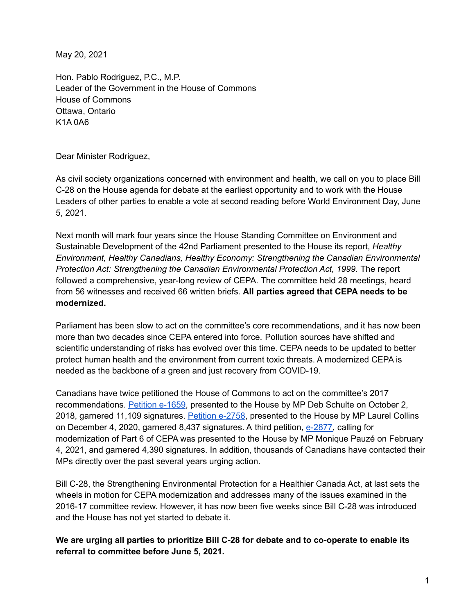May 20, 2021

Hon. Pablo Rodriguez, P.C., M.P. Leader of the Government in the House of Commons House of Commons Ottawa, Ontario K1A 0A6

Dear Minister Rodriguez,

As civil society organizations concerned with environment and health, we call on you to place Bill C-28 on the House agenda for debate at the earliest opportunity and to work with the House Leaders of other parties to enable a vote at second reading before World Environment Day, June 5, 2021.

Next month will mark four years since the House Standing Committee on Environment and Sustainable Development of the 42nd Parliament presented to the House its report, *[Healthy](https://www.ourcommons.ca/DocumentViewer/en/42-1/ENVI/report-8/) Environment, Healthy Canadians, Healthy Economy: Strengthening the Canadian [Environmental](https://www.ourcommons.ca/DocumentViewer/en/42-1/ENVI/report-8/) [Protection](https://www.ourcommons.ca/DocumentViewer/en/42-1/ENVI/report-8/) Act: Strengthening the Canadian Environmental Protection Act, 1999.* The report followed a comprehensive, year-long review of CEPA. The committee held 28 meetings, heard from 56 witnesses and received 66 written briefs. **All parties agreed that CEPA needs to be modernized.**

Parliament has been slow to act on the committee's core recommendations, and it has now been more than two decades since CEPA entered into force. Pollution sources have shifted and scientific understanding of risks has evolved over this time. CEPA needs to be updated to better protect human health and the environment from current toxic threats. A modernized CEPA is needed as the backbone of a green and just recovery from COVID-19.

Canadians have twice petitioned the House of Commons to act on the committee's 2017 recommendations. [Petition](https://petitions.ourcommons.ca/en/Petition/Details?Petition=e-1659) e-1659, presented to the House by MP Deb Schulte on October 2, 2018, garnered 11,109 signatures. [Petition](https://petitions.ourcommons.ca/en/Petition/Details?Petition=e-2758) e-2758, presented to the House by MP Laurel Collins on December 4, 2020, garnered 8,437 signatures. A third petition, [e-2877,](https://petitions.ourcommons.ca/en/Petition/Details?Petition=e-2877) calling for modernization of Part 6 of CEPA was presented to the House by MP Monique Pauzé on February 4, 2021, and garnered 4,390 signatures. In addition, thousands of Canadians have contacted their MPs directly over the past several years urging action.

Bill C-28, the Strengthening Environmental Protection for a Healthier Canada Act, at last sets the wheels in motion for CEPA modernization and addresses many of the issues examined in the 2016-17 committee review. However, it has now been five weeks since Bill C-28 was introduced and the House has not yet started to debate it.

## **We are urging all parties to prioritize Bill C-28 for debate and to co-operate to enable its referral to committee before June 5, 2021.**